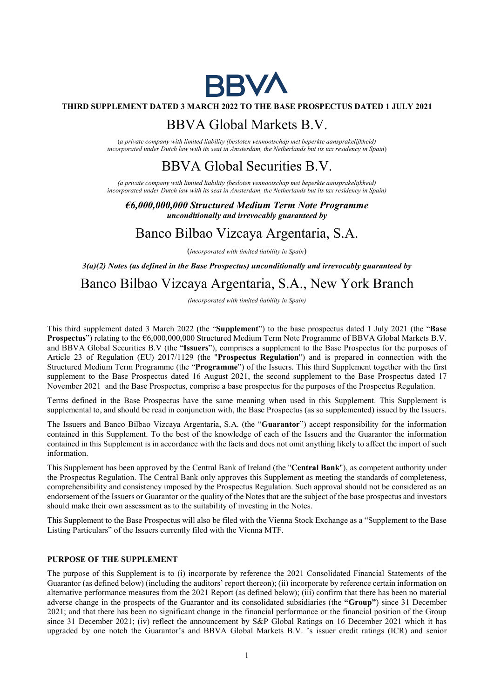

## THIRD SUPPLEMENT DATED 3 MARCH 2022 TO THE BASE PROSPECTUS DATED 1 JULY 2021

## BBVA Global Markets B.V.

(a private company with limited liability (besloten vennootschap met beperkte aansprakelijkheid) incorporated under Dutch law with its seat in Amsterdam, the Netherlands but its tax residency in Spain)

# BBVA Global Securities B.V.

(a private company with limited liability (besloten vennootschap met beperkte aansprakelijkheid) incorporated under Dutch law with its seat in Amsterdam, the Netherlands but its tax residency in Spain)

€6,000,000,000 Structured Medium Term Note Programme unconditionally and irrevocably guaranteed by

# Banco Bilbao Vizcaya Argentaria, S.A.

(incorporated with limited liability in Spain)

 $3(a)(2)$  Notes (as defined in the Base Prospectus) unconditionally and irrevocably guaranteed by

# Banco Bilbao Vizcaya Argentaria, S.A., New York Branch

(incorporated with limited liability in Spain)

This third supplement dated 3 March 2022 (the "Supplement") to the base prospectus dated 1 July 2021 (the "Base Prospectus") relating to the €6,000,000,000 Structured Medium Term Note Programme of BBVA Global Markets B.V. and BBVA Global Securities B.V (the "Issuers"), comprises a supplement to the Base Prospectus for the purposes of Article 23 of Regulation (EU) 2017/1129 (the "Prospectus Regulation") and is prepared in connection with the Structured Medium Term Programme (the "Programme") of the Issuers. This third Supplement together with the first supplement to the Base Prospectus dated 16 August 2021, the second supplement to the Base Prospectus dated 17 November 2021 and the Base Prospectus, comprise a base prospectus for the purposes of the Prospectus Regulation.

Terms defined in the Base Prospectus have the same meaning when used in this Supplement. This Supplement is supplemental to, and should be read in conjunction with, the Base Prospectus (as so supplemented) issued by the Issuers.

The Issuers and Banco Bilbao Vizcaya Argentaria, S.A. (the "Guarantor") accept responsibility for the information contained in this Supplement. To the best of the knowledge of each of the Issuers and the Guarantor the information contained in this Supplement is in accordance with the facts and does not omit anything likely to affect the import of such information.

This Supplement has been approved by the Central Bank of Ireland (the "Central Bank"), as competent authority under the Prospectus Regulation. The Central Bank only approves this Supplement as meeting the standards of completeness, comprehensibility and consistency imposed by the Prospectus Regulation. Such approval should not be considered as an endorsement of the Issuers or Guarantor or the quality of the Notes that are the subject of the base prospectus and investors should make their own assessment as to the suitability of investing in the Notes.

This Supplement to the Base Prospectus will also be filed with the Vienna Stock Exchange as a "Supplement to the Base Listing Particulars" of the Issuers currently filed with the Vienna MTF.

## PURPOSE OF THE SUPPLEMENT

The purpose of this Supplement is to (i) incorporate by reference the 2021 Consolidated Financial Statements of the Guarantor (as defined below) (including the auditors' report thereon); (ii) incorporate by reference certain information on alternative performance measures from the 2021 Report (as defined below); (iii) confirm that there has been no material adverse change in the prospects of the Guarantor and its consolidated subsidiaries (the "Group") since 31 December 2021; and that there has been no significant change in the financial performance or the financial position of the Group since 31 December 2021; (iv) reflect the announcement by S&P Global Ratings on 16 December 2021 which it has upgraded by one notch the Guarantor's and BBVA Global Markets B.V. 's issuer credit ratings (ICR) and senior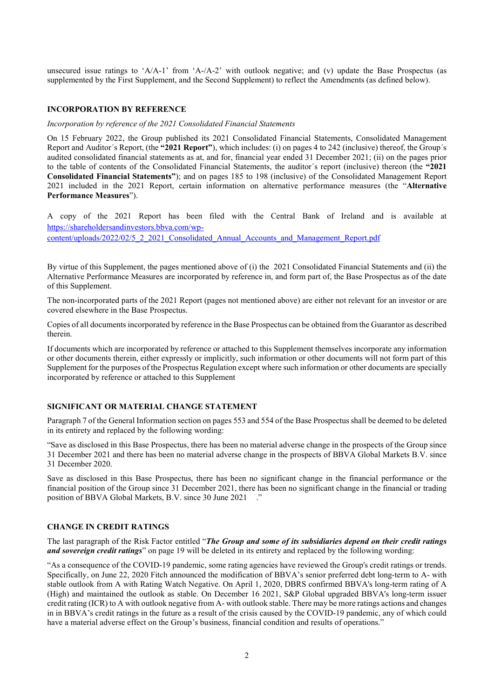unsecured issue ratings to 'A/A-1' from 'A-/A-2' with outlook negative; and (v) update the Base Prospectus (as supplemented by the First Supplement, and the Second Supplement) to reflect the Amendments (as defined below).

#### INCORPORATION BY REFERENCE

## Incorporation by reference of the 2021 Consolidated Financial Statements

On 15 February 2022, the Group published its 2021 Consolidated Financial Statements, Consolidated Management Report and Auditor´s Report, (the "2021 Report"), which includes: (i) on pages 4 to 242 (inclusive) thereof, the Group´s audited consolidated financial statements as at, and for, financial year ended 31 December 2021; (ii) on the pages prior to the table of contents of the Consolidated Financial Statements, the auditor´s report (inclusive) thereon (the "2021 Consolidated Financial Statements"); and on pages 185 to 198 (inclusive) of the Consolidated Management Report 2021 included in the 2021 Report, certain information on alternative performance measures (the "Alternative Performance Measures").

A copy of the 2021 Report has been filed with the Central Bank of Ireland and is available at https://shareholdersandinvestors.bbva.com/wp-

content/uploads/2022/02/5\_2\_2021\_Consolidated\_Annual\_Accounts\_and\_Management\_Report.pdf

By virtue of this Supplement, the pages mentioned above of (i) the 2021 Consolidated Financial Statements and (ii) the Alternative Performance Measures are incorporated by reference in, and form part of, the Base Prospectus as of the date of this Supplement.

The non-incorporated parts of the 2021 Report (pages not mentioned above) are either not relevant for an investor or are covered elsewhere in the Base Prospectus.

Copies of all documents incorporated by reference in the Base Prospectus can be obtained from the Guarantor as described therein.

If documents which are incorporated by reference or attached to this Supplement themselves incorporate any information or other documents therein, either expressly or implicitly, such information or other documents will not form part of this Supplement for the purposes of the Prospectus Regulation except where such information or other documents are specially incorporated by reference or attached to this Supplement

## SIGNIFICANT OR MATERIAL CHANGE STATEMENT

Paragraph 7 of the General Information section on pages 553 and 554 of the Base Prospectus shall be deemed to be deleted in its entirety and replaced by the following wording:

"Save as disclosed in this Base Prospectus, there has been no material adverse change in the prospects of the Group since 31 December 2021 and there has been no material adverse change in the prospects of BBVA Global Markets B.V. since 31 December 2020.

Save as disclosed in this Base Prospectus, there has been no significant change in the financial performance or the financial position of the Group since 31 December 2021, there has been no significant change in the financial or trading position of BBVA Global Markets, B.V. since 30 June 2021 ."

### CHANGE IN CREDIT RATINGS

The last paragraph of the Risk Factor entitled "The Group and some of its subsidiaries depend on their credit ratings and sovereign credit ratings" on page 19 will be deleted in its entirety and replaced by the following wording:

"As a consequence of the COVID-19 pandemic, some rating agencies have reviewed the Group's credit ratings or trends. Specifically, on June 22, 2020 Fitch announced the modification of BBVA's senior preferred debt long-term to A- with stable outlook from A with Rating Watch Negative. On April 1, 2020, DBRS confirmed BBVA's long-term rating of A (High) and maintained the outlook as stable. On December 16 2021, S&P Global upgraded BBVA's long-term issuer credit rating (ICR) to A with outlook negative from A- with outlook stable. There may be more ratings actions and changes in in BBVA's credit ratings in the future as a result of the crisis caused by the COVID-19 pandemic, any of which could have a material adverse effect on the Group's business, financial condition and results of operations."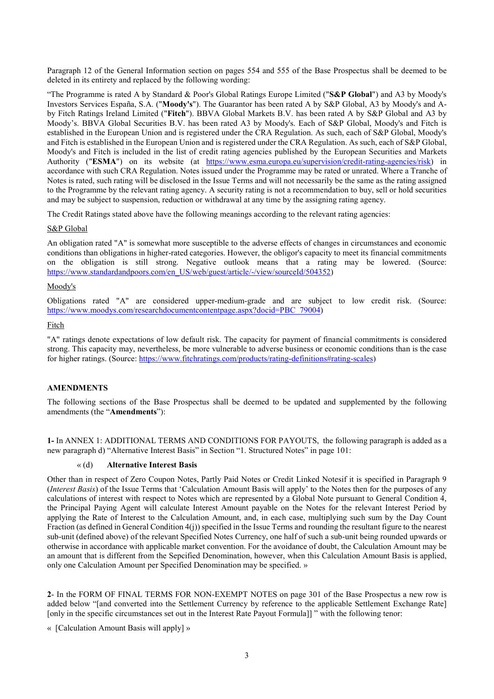Paragraph 12 of the General Information section on pages 554 and 555 of the Base Prospectus shall be deemed to be deleted in its entirety and replaced by the following wording:

"The Programme is rated A by Standard & Poor's Global Ratings Europe Limited ("S&P Global") and A3 by Moody's Investors Services España, S.A. ("Moody's"). The Guarantor has been rated A by S&P Global, A3 by Moody's and Aby Fitch Ratings Ireland Limited ("Fitch"). BBVA Global Markets B.V. has been rated A by S&P Global and A3 by Moody's. BBVA Global Securities B.V. has been rated A3 by Moody's. Each of S&P Global, Moody's and Fitch is established in the European Union and is registered under the CRA Regulation. As such, each of S&P Global, Moody's and Fitch is established in the European Union and is registered under the CRA Regulation. As such, each of S&P Global, Moody's and Fitch is included in the list of credit rating agencies published by the European Securities and Markets Authority ("ESMA") on its website (at https://www.esma.europa.eu/supervision/credit-rating-agencies/risk) in accordance with such CRA Regulation. Notes issued under the Programme may be rated or unrated. Where a Tranche of Notes is rated, such rating will be disclosed in the Issue Terms and will not necessarily be the same as the rating assigned to the Programme by the relevant rating agency. A security rating is not a recommendation to buy, sell or hold securities and may be subject to suspension, reduction or withdrawal at any time by the assigning rating agency.

The Credit Ratings stated above have the following meanings according to the relevant rating agencies:

## S&P Global

An obligation rated "A" is somewhat more susceptible to the adverse effects of changes in circumstances and economic conditions than obligations in higher-rated categories. However, the obligor's capacity to meet its financial commitments on the obligation is still strong. Negative outlook means that a rating may be lowered. (Source: https://www.standardandpoors.com/en\_US/web/guest/article/-/view/sourceId/504352)

## Moody's

Obligations rated "A" are considered upper-medium-grade and are subject to low credit risk. (Source: https://www.moodys.com/researchdocumentcontentpage.aspx?docid=PBC\_79004)

## Fitch

"A" ratings denote expectations of low default risk. The capacity for payment of financial commitments is considered strong. This capacity may, nevertheless, be more vulnerable to adverse business or economic conditions than is the case for higher ratings. (Source: https://www.fitchratings.com/products/rating-definitions#rating-scales)

## AMENDMENTS

The following sections of the Base Prospectus shall be deemed to be updated and supplemented by the following amendments (the "Amendments"):

1- In ANNEX 1: ADDITIONAL TERMS AND CONDITIONS FOR PAYOUTS, the following paragraph is added as a new paragraph d) "Alternative Interest Basis" in Section "1. Structured Notes" in page 101:

#### « (d) Alternative Interest Basis

Other than in respect of Zero Coupon Notes, Partly Paid Notes or Credit Linked Notesif it is specified in Paragraph 9 (*Interest Basis*) of the Issue Terms that 'Calculation Amount Basis will apply' to the Notes then for the purposes of any calculations of interest with respect to Notes which are represented by a Global Note pursuant to General Condition 4, the Principal Paying Agent will calculate Interest Amount payable on the Notes for the relevant Interest Period by applying the Rate of Interest to the Calculation Amount, and, in each case, multiplying such sum by the Day Count Fraction (as defined in General Condition 4(j)) specified in the Issue Terms and rounding the resultant figure to the nearest sub-unit (defined above) of the relevant Specified Notes Currency, one half of such a sub-unit being rounded upwards or otherwise in accordance with applicable market convention. For the avoidance of doubt, the Calculation Amount may be an amount that is different from the Sepcified Denomination, however, when this Calculation Amount Basis is applied, only one Calculation Amount per Specified Denomination may be specified. »

2- In the FORM OF FINAL TERMS FOR NON-EXEMPT NOTES on page 301 of the Base Prospectus a new row is added below "[and converted into the Settlement Currency by reference to the applicable Settlement Exchange Rate] [only in the specific circumstances set out in the Interest Rate Payout Formula]] " with the following tenor:

« [Calculation Amount Basis will apply] »